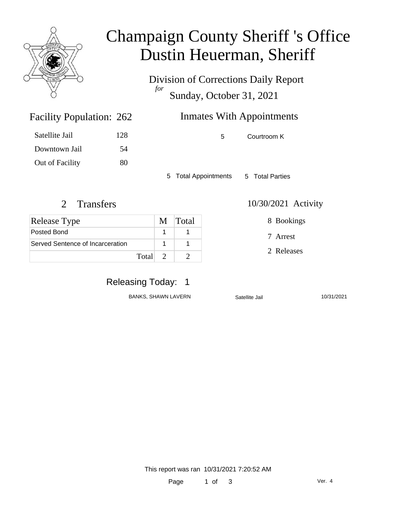

# Champaign County Sheriff 's Office Dustin Heuerman, Sheriff

Division of Corrections Daily Report *for* Sunday, October 31, 2021

## Inmates With Appointments

5 Courtroom K

5 Total Appointments 5 Total Parties

#### 2 Transfers 10/30/2021 Activity

Facility Population: 262

Satellite Jail 128

Downtown Jail 54

Out of Facility 80

| Release Type                     | M Total |
|----------------------------------|---------|
| Posted Bond                      |         |
| Served Sentence of Incarceration |         |
| Total 2                          |         |

### Releasing Today: 1

BANKS, SHAWN LAVERN Satellite Jail 10/31/2021

8 Bookings

7 Arrest

2 Releases

This report was ran 10/31/2021 7:20:52 AM

Page 1 of 3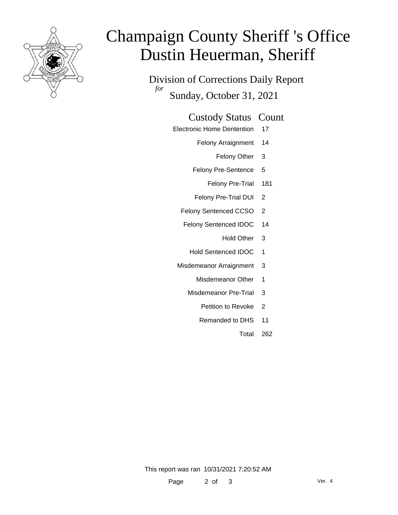

# Champaign County Sheriff 's Office Dustin Heuerman, Sheriff

Division of Corrections Daily Report *for* Sunday, October 31, 2021

#### Custody Status Count

- Electronic Home Dentention 17
	- Felony Arraignment 14
		- Felony Other 3
	- Felony Pre-Sentence 5
		- Felony Pre-Trial 181
	- Felony Pre-Trial DUI 2
	- Felony Sentenced CCSO 2
	- Felony Sentenced IDOC 14
		- Hold Other 3
		- Hold Sentenced IDOC 1
	- Misdemeanor Arraignment 3
		- Misdemeanor Other 1
		- Misdemeanor Pre-Trial 3
			- Petition to Revoke 2
			- Remanded to DHS 11
				- Total 262

This report was ran 10/31/2021 7:20:52 AM